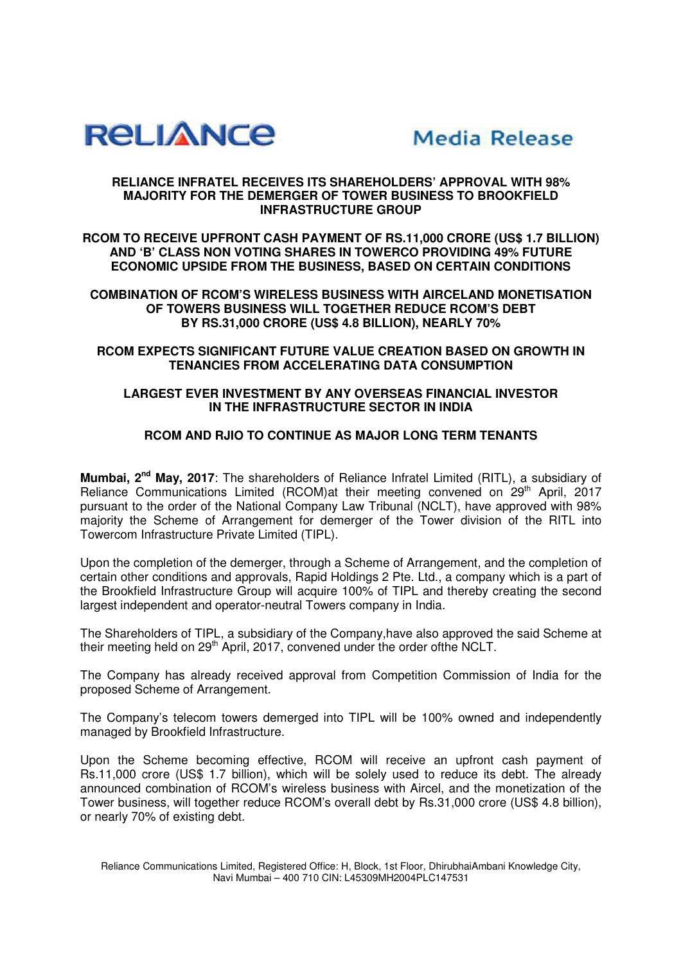



## **RELIANCE INFRATEL RECEIVES ITS SHAREHOLDERS' APPROVAL WITH 98% MAJORITY FOR THE DEMERGER OF TOWER BUSINESS TO BROOKFIELD INFRASTRUCTURE GROUP**

**RCOM TO RECEIVE UPFRONT CASH PAYMENT OF RS.11,000 CRORE (US\$ 1.7 BILLION) AND 'B' CLASS NON VOTING SHARES IN TOWERCO PROVIDING 49% FUTURE ECONOMIC UPSIDE FROM THE BUSINESS, BASED ON CERTAIN CONDITIONS** 

**COMBINATION OF RCOM'S WIRELESS BUSINESS WITH AIRCELAND MONETISATION OF TOWERS BUSINESS WILL TOGETHER REDUCE RCOM'S DEBT BY RS.31,000 CRORE (US\$ 4.8 BILLION), NEARLY 70%** 

**RCOM EXPECTS SIGNIFICANT FUTURE VALUE CREATION BASED ON GROWTH IN TENANCIES FROM ACCELERATING DATA CONSUMPTION** 

## **LARGEST EVER INVESTMENT BY ANY OVERSEAS FINANCIAL INVESTOR IN THE INFRASTRUCTURE SECTOR IN INDIA**

## **RCOM AND RJIO TO CONTINUE AS MAJOR LONG TERM TENANTS**

**Mumbai, 2nd May, 2017**: The shareholders of Reliance Infratel Limited (RITL), a subsidiary of Reliance Communications Limited (RCOM)at their meeting convened on  $29<sup>th</sup>$  April, 2017 pursuant to the order of the National Company Law Tribunal (NCLT), have approved with 98% majority the Scheme of Arrangement for demerger of the Tower division of the RITL into Towercom Infrastructure Private Limited (TIPL).

Upon the completion of the demerger, through a Scheme of Arrangement, and the completion of certain other conditions and approvals, Rapid Holdings 2 Pte. Ltd., a company which is a part of the Brookfield Infrastructure Group will acquire 100% of TIPL and thereby creating the second largest independent and operator-neutral Towers company in India.

The Shareholders of TIPL, a subsidiary of the Company,have also approved the said Scheme at their meeting held on 29<sup>th</sup> April, 2017, convened under the order ofthe NCLT.

The Company has already received approval from Competition Commission of India for the proposed Scheme of Arrangement.

The Company's telecom towers demerged into TIPL will be 100% owned and independently managed by Brookfield Infrastructure.

Upon the Scheme becoming effective, RCOM will receive an upfront cash payment of Rs.11,000 crore (US\$ 1.7 billion), which will be solely used to reduce its debt. The already announced combination of RCOM's wireless business with Aircel, and the monetization of the Tower business, will together reduce RCOM's overall debt by Rs.31,000 crore (US\$ 4.8 billion), or nearly 70% of existing debt.